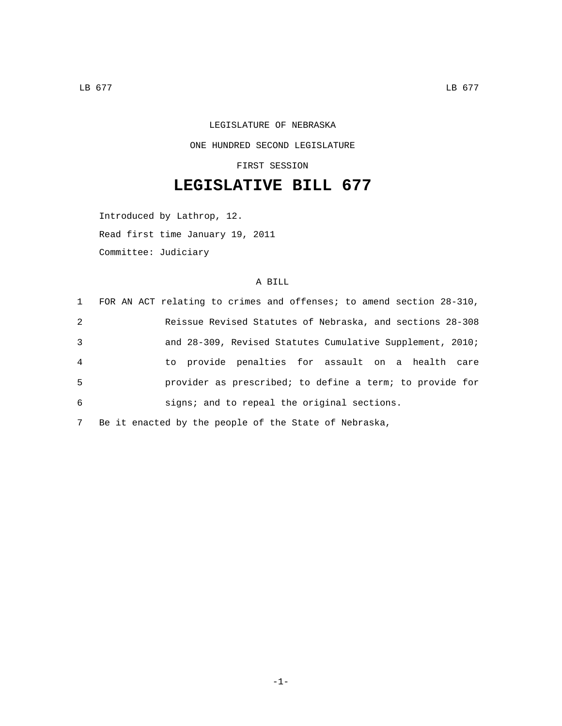## LEGISLATURE OF NEBRASKA ONE HUNDRED SECOND LEGISLATURE

FIRST SESSION

## **LEGISLATIVE BILL 677**

Introduced by Lathrop, 12. Read first time January 19, 2011 Committee: Judiciary

## A BILL

| 1              | FOR AN ACT relating to crimes and offenses; to amend section 28-310, |
|----------------|----------------------------------------------------------------------|
| 2              | Reissue Revised Statutes of Nebraska, and sections 28-308            |
| 3              | and 28-309, Revised Statutes Cumulative Supplement, 2010;            |
| $\overline{4}$ | to provide penalties for assault on a health care                    |
| - 5            | provider as prescribed; to define a term; to provide for             |
| 6              | signs; and to repeal the original sections.                          |
| 7              | Be it enacted by the people of the State of Nebraska,                |

-1-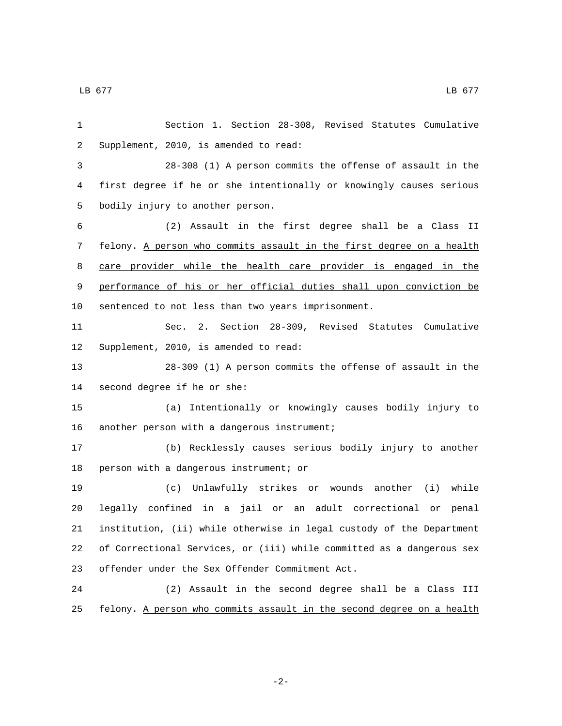Section 1. Section 28-308, Revised Statutes Cumulative 2 Supplement, 2010, is amended to read: 28-308 (1) A person commits the offense of assault in the first degree if he or she intentionally or knowingly causes serious 5 bodily injury to another person. (2) Assault in the first degree shall be a Class II felony. A person who commits assault in the first degree on a health care provider while the health care provider is engaged in the performance of his or her official duties shall upon conviction be sentenced to not less than two years imprisonment. Sec. 2. Section 28-309, Revised Statutes Cumulative 12 Supplement, 2010, is amended to read: 28-309 (1) A person commits the offense of assault in the 14 second degree if he or she: (a) Intentionally or knowingly causes bodily injury to 16 another person with a dangerous instrument; (b) Recklessly causes serious bodily injury to another 18 person with a dangerous instrument; or (c) Unlawfully strikes or wounds another (i) while legally confined in a jail or an adult correctional or penal institution, (ii) while otherwise in legal custody of the Department of Correctional Services, or (iii) while committed as a dangerous sex 23 offender under the Sex Offender Commitment Act. (2) Assault in the second degree shall be a Class III felony. A person who commits assault in the second degree on a health

-2-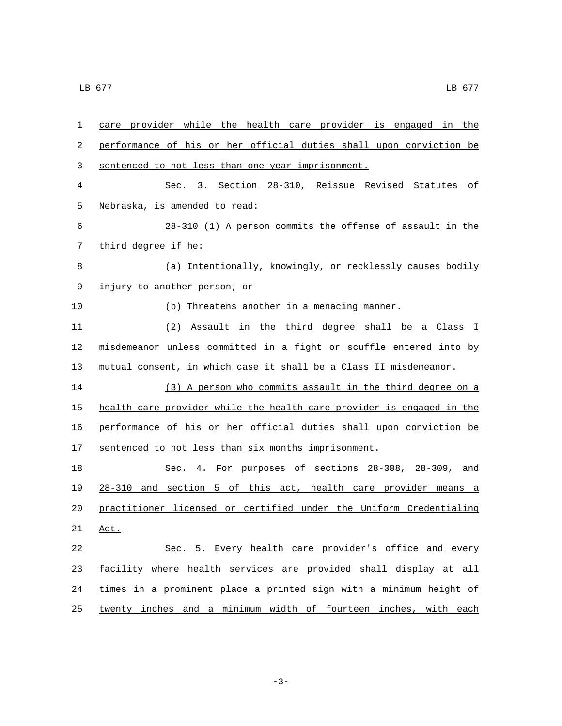care provider while the health care provider is engaged in the performance of his or her official duties shall upon conviction be 3 sentenced to not less than one year imprisonment. Sec. 3. Section 28-310, Reissue Revised Statutes of 5 Nebraska, is amended to read: 28-310 (1) A person commits the offense of assault in the 7 third degree if he: (a) Intentionally, knowingly, or recklessly causes bodily 9 injury to another person; or (b) Threatens another in a menacing manner. (2) Assault in the third degree shall be a Class I misdemeanor unless committed in a fight or scuffle entered into by mutual consent, in which case it shall be a Class II misdemeanor. (3) A person who commits assault in the third degree on a health care provider while the health care provider is engaged in the performance of his or her official duties shall upon conviction be 17 sentenced to not less than six months imprisonment. Sec. 4. For purposes of sections 28-308, 28-309, and 28-310 and section 5 of this act, health care provider means a practitioner licensed or certified under the Uniform Credentialing 21 Act. Sec. 5. Every health care provider's office and every facility where health services are provided shall display at all 24 times in a prominent place a printed sign with a minimum height of twenty inches and a minimum width of fourteen inches, with each

-3-